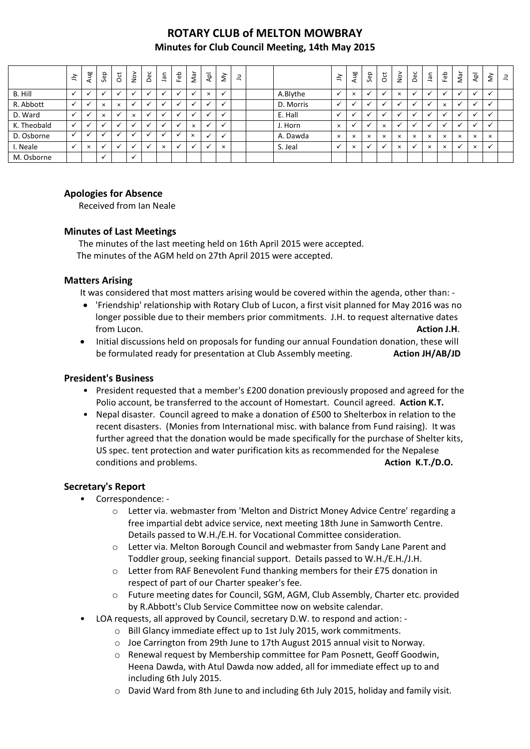# **ROTARY CLUB of MELTON MOWBRAY Minutes for Club Council Meeting, 14th May 2015**

|             | $\leq$       | Aug      | Sep                  | ğ            | $\sum_{i=1}^{\infty}$ | Dec | ٦ā       | Feb | Nar      | ldy                  | $\grave{\le}$ | $\equiv$ |           | $\preceq$ | Aug      | Sep      | $\overline{5}$       | $\frac{8}{2}$ | Dec                  | Ξ        | Feb      | Nar      | $\overline{\mathsf{Q}}$  | $\grave{\Sigma}$ | $\exists$ |
|-------------|--------------|----------|----------------------|--------------|-----------------------|-----|----------|-----|----------|----------------------|---------------|----------|-----------|-----------|----------|----------|----------------------|---------------|----------------------|----------|----------|----------|--------------------------|------------------|-----------|
| B. Hill     | $\cdot$      | ╰        | $\ddot{\phantom{0}}$ |              |                       |     |          |     |          | $\times$             | $\checkmark$  |          | A.Blythe  |           | $\times$ |          |                      | $\times$      | $\cdot$              |          |          |          | $\check{ }$              |                  |           |
| R. Abbott   |              |          | $\times$             | $\times$     |                       |     |          |     |          |                      | $\checkmark$  |          | D. Morris |           |          |          |                      |               | $\ddot{\phantom{0}}$ |          | $\times$ |          |                          |                  |           |
| D. Ward     |              |          | $\times$             |              | $\times$              |     |          |     |          |                      | $\checkmark$  |          | E. Hall   |           |          |          |                      |               | ٠                    |          |          |          |                          |                  |           |
| K. Theobald | $\checkmark$ |          | ä.                   |              |                       |     |          |     | $\times$ | v                    | $\checkmark$  |          | J. Horn   | $\times$  |          |          | $\times$             |               | $\cdot$              |          |          |          | $\overline{\phantom{a}}$ |                  |           |
| D. Osborne  |              |          |                      |              |                       |     |          |     | $\times$ |                      | $\checkmark$  |          | A. Dawda  | $\times$  | $\times$ | $\times$ | $\times$             | $\times$      | $\times$             | $\times$ | $\times$ | $\times$ | $\times$                 | $\times$         |           |
| I. Neale    | $\checkmark$ | $\times$ | $\ddot{\phantom{0}}$ | $\checkmark$ |                       |     | $\times$ |     |          | $\ddot{\phantom{0}}$ | $\times$      |          | S. Jeal   |           | $\times$ |          | $\ddot{\phantom{0}}$ | $\times$      | $\checkmark$         | $\times$ | $\times$ |          | $\times$                 |                  |           |
| M. Osborne  |              |          | $\checkmark$         |              | $\overline{ }$        |     |          |     |          |                      |               |          |           |           |          |          |                      |               |                      |          |          |          |                          |                  |           |

### **Apologies for Absence**

Received from Ian Neale

### **Minutes of Last Meetings**

The minutes of the last meeting held on 16th April 2015 were accepted. The minutes of the AGM held on 27th April 2015 were accepted.

### **Matters Arising**

It was considered that most matters arising would be covered within the agenda, other than: -

- 'Friendship' relationship with Rotary Club of Lucon, a first visit planned for May 2016 was no longer possible due to their members prior commitments. J.H. to request alternative dates from Lucon. **Action J.H**.
- Initial discussions held on proposals for funding our annual Foundation donation, these will be formulated ready for presentation at Club Assembly meeting. **Action JH/AB/JD**

### **President's Business**

- President requested that a member's £200 donation previously proposed and agreed for the Polio account, be transferred to the account of Homestart. Council agreed. **Action K.T.**
- Nepal disaster. Council agreed to make a donation of £500 to Shelterbox in relation to the recent disasters. (Monies from International misc. with balance from Fund raising). It was further agreed that the donation would be made specifically for the purchase of Shelter kits, US spec. tent protection and water purification kits as recommended for the Nepalese conditions and problems. **Action K.T./D.O.**

### **Secretary's Report**

- Correspondence:
	- o Letter via. webmaster from 'Melton and District Money Advice Centre' regarding a free impartial debt advice service, next meeting 18th June in Samworth Centre. Details passed to W.H./E.H. for Vocational Committee consideration.
	- o Letter via. Melton Borough Council and webmaster from Sandy Lane Parent and Toddler group, seeking financial support. Details passed to W.H./E.H./J.H.
	- o Letter from RAF Benevolent Fund thanking members for their £75 donation in respect of part of our Charter speaker's fee.
	- o Future meeting dates for Council, SGM, AGM, Club Assembly, Charter etc. provided by R.Abbott's Club Service Committee now on website calendar.
- LOA requests, all approved by Council, secretary D.W. to respond and action:
	- o Bill Glancy immediate effect up to 1st July 2015, work commitments.
	- o Joe Carrington from 29th June to 17th August 2015 annual visit to Norway.
	- o Renewal request by Membership committee for Pam Posnett, Geoff Goodwin, Heena Dawda, with Atul Dawda now added, all for immediate effect up to and including 6th July 2015.
	- $\circ$  David Ward from 8th June to and including 6th July 2015, holiday and family visit.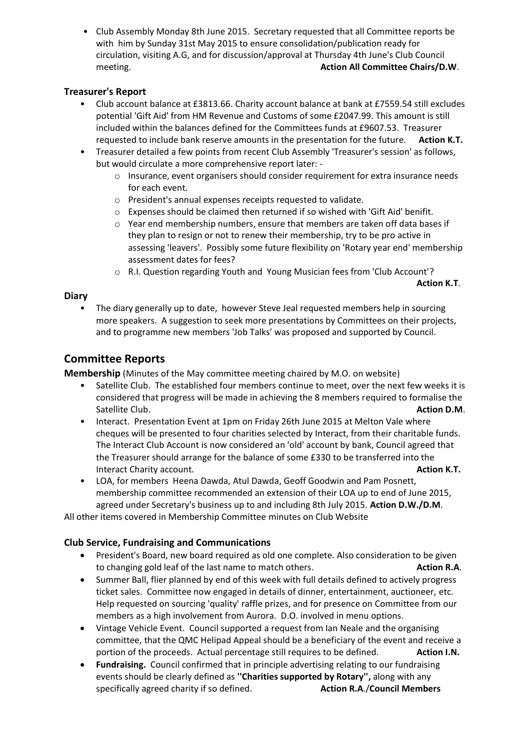• Club Assembly Monday 8th June 2015. Secretary requested that all Committee reports be with him by Sunday 31st May 2015 to ensure consolidation/publication ready for circulation, visiting A.G, and for discussion/approval at Thursday 4th June's Club Council meeting. **Action All Committee Chairs/D.W**.

### **Treasurer's Report**

- Club account balance at £3813.66. Charity account balance at bank at £7559.54 still excludes potential 'Gift Aid' from HM Revenue and Customs of some £2047.99. This amount is still included within the balances defined for the Committees funds at £9607.53. Treasurer requested to include bank reserve amounts in the presentation for the future. **Action K.T.**
- Treasurer detailed a few points from recent Club Assembly 'Treasurer's session' as follows, but would circulate a more comprehensive report later: -
	- $\circ$  Insurance, event organisers should consider requirement for extra insurance needs for each event.
	- o President's annual expenses receipts requested to validate.
	- $\circ$  Expenses should be claimed then returned if so wished with 'Gift Aid' benifit.
	- o Year end membership numbers, ensure that members are taken off data bases if they plan to resign or not to renew their membership, try to be pro active in assessing 'leavers'. Possibly some future flexibility on 'Rotary year end' membership assessment dates for fees?
	- o R.I. Question regarding Youth and Young Musician fees from 'Club Account'?

**Action K.T**.

### **Diary**

The diary generally up to date, however Steve Jeal requested members help in sourcing more speakers. A suggestion to seek more presentations by Committees on their projects, and to programme new members 'Job Talks' was proposed and supported by Council.

## **Committee Reports**

**Membership** (Minutes of the May committee meeting chaired by M.O. on website)

- Satellite Club. The established four members continue to meet, over the next few weeks it is considered that progress will be made in achieving the 8 members required to formalise the Satellite Club. **Action D.M**.
- Interact. Presentation Event at 1pm on Friday 26th June 2015 at Melton Vale where cheques will be presented to four charities selected by Interact, from their charitable funds. The Interact Club Account is now considered an 'old' account by bank, Council agreed that the Treasurer should arrange for the balance of some £330 to be transferred into the **Interact Charity account. Action K.T. Action K.T.**
- LOA, for members Heena Dawda, Atul Dawda, Geoff Goodwin and Pam Posnett, membership committee recommended an extension of their LOA up to end of June 2015, agreed under Secretary's business up to and including 8th July 2015. **Action D.W./D.M**.

All other items covered in Membership Committee minutes on Club Website

### **Club Service, Fundraising and Communications**

- President's Board, new board required as old one complete. Also consideration to be given to changing gold leaf of the last name to match others. **Action R.A.**
- Summer Ball, flier planned by end of this week with full details defined to actively progress ticket sales. Committee now engaged in details of dinner, entertainment, auctioneer, etc. Help requested on sourcing 'quality' raffle prizes, and for presence on Committee from our members as a high involvement from Aurora. D.O. involved in menu options.
- Vintage Vehicle Event. Council supported a request from Ian Neale and the organising committee, that the QMC Helipad Appeal should be a beneficiary of the event and receive a portion of the proceeds. Actual percentage still requires to be defined. **Action I.N.**
- **Fundraising.** Council confirmed that in principle advertising relating to our fundraising events should be clearly defined as **''Charities supported by Rotary'',** along with any specifically agreed charity if so defined. **Action R.A**./**Council Members**